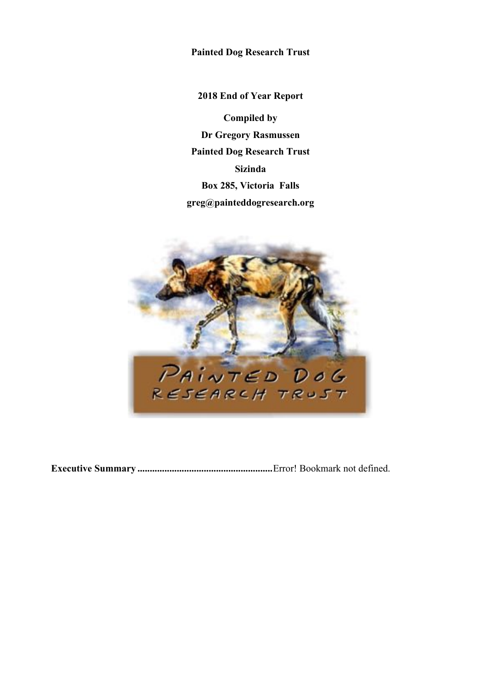**Painted Dog Research Trust**

**2018 End of Year Report Compiled by Dr Gregory Rasmussen Painted Dog Research Trust Sizinda Box 285, Victoria Falls greg@painteddogresearch.org**



**Executive Summary .......................................................**Error! Bookmark not defined.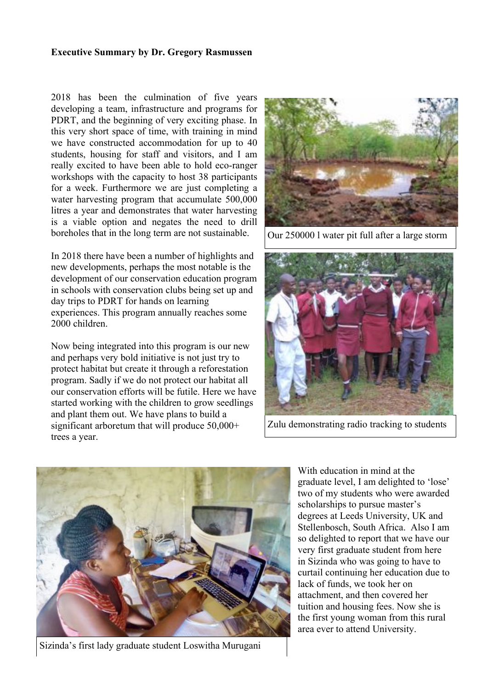### **Executive Summary by Dr. Gregory Rasmussen**

2018 has been the culmination of five years developing a team, infrastructure and programs for PDRT, and the beginning of very exciting phase. In this very short space of time, with training in mind we have constructed accommodation for up to 40 students, housing for staff and visitors, and I am really excited to have been able to hold eco-ranger workshops with the capacity to host 38 participants for a week. Furthermore we are just completing a water harvesting program that accumulate 500,000 litres a year and demonstrates that water harvesting is a viable option and negates the need to drill boreholes that in the long term are not sustainable.

In 2018 there have been a number of highlights and new developments, perhaps the most notable is the development of our conservation education program in schools with conservation clubs being set up and day trips to PDRT for hands on learning experiences. This program annually reaches some 2000 children.

Now being integrated into this program is our new and perhaps very bold initiative is not just try to protect habitat but create it through a reforestation program. Sadly if we do not protect our habitat all our conservation efforts will be futile. Here we have started working with the children to grow seedlings and plant them out. We have plans to build a significant arboretum that will produce 50,000+ trees a year.



Our 250000 l water pit full after a large storm



Zulu demonstrating radio tracking to students



Sizinda's first lady graduate student Loswitha Murugani

With education in mind at the graduate level, I am delighted to 'lose' two of my students who were awarded scholarships to pursue master's degrees at Leeds University, UK and Stellenbosch, South Africa. Also I am so delighted to report that we have our very first graduate student from here in Sizinda who was going to have to curtail continuing her education due to lack of funds, we took her on attachment, and then covered her tuition and housing fees. Now she is the first young woman from this rural area ever to attend University.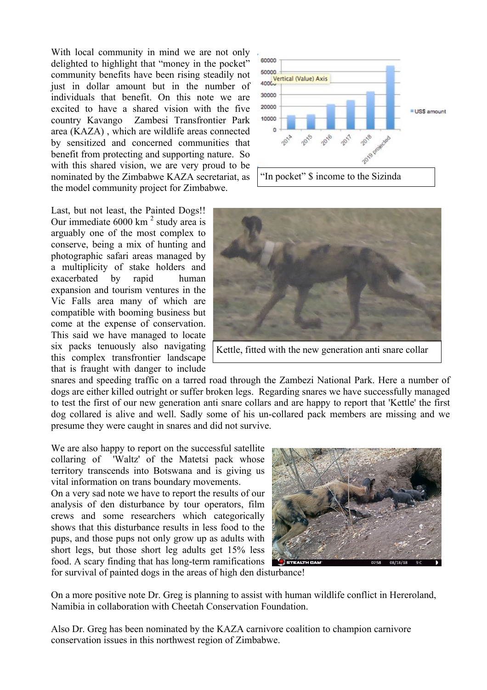With local community in mind we are not only delighted to highlight that "money in the pocket" community benefits have been rising steadily not just in dollar amount but in the number of individuals that benefit. On this note we are excited to have a shared vision with the five country Kavango Zambesi Transfrontier Park area (KAZA) , which are wildlife areas connected by sensitized and concerned communities that benefit from protecting and supporting nature. So with this shared vision, we are very proud to be nominated by the Zimbabwe KAZA secretariat, as the model community project for Zimbabwe.

Last, but not least, the Painted Dogs!! Our immediate  $6000 \text{ km}^2$  study area is arguably one of the most complex to conserve, being a mix of hunting and photographic safari areas managed by a multiplicity of stake holders and exacerbated by rapid human expansion and tourism ventures in the Vic Falls area many of which are compatible with booming business but come at the expense of conservation. This said we have managed to locate six packs tenuously also navigating this complex transfrontier landscape that is fraught with danger to include





community of the community of the community of the community of the community of the community of the community of the community of the community of the community of the community of the community of the community of the c

snares and speeding traffic on a tarred road through the Zambezi National Park. Here a number of dogs are either killed outright or suffer broken legs. Regarding snares we have successfully managed to test the first of our new generation anti snare collars and are happy to report that 'Kettle' the first dog collared is alive and well. Sadly some of his un-collared pack members are missing and we presume they were caught in snares and did not survive.

We are also happy to report on the successful satellite collaring of 'Waltz' of the Matetsi pack whose territory transcends into Botswana and is giving us vital information on trans boundary movements.

On a very sad note we have to report the results of our analysis of den disturbance by tour operators, film crews and some researchers which categorically shows that this disturbance results in less food to the pups, and those pups not only grow up as adults with short legs, but those short leg adults get 15% less food. A scary finding that has long-term ramifications



for survival of painted dogs in the areas of high den disturbance!

On a more positive note Dr. Greg is planning to assist with human wildlife conflict in Hereroland, Namibia in collaboration with Cheetah Conservation Foundation.

Also Dr. Greg has been nominated by the KAZA carnivore coalition to champion carnivore conservation issues in this northwest region of Zimbabwe.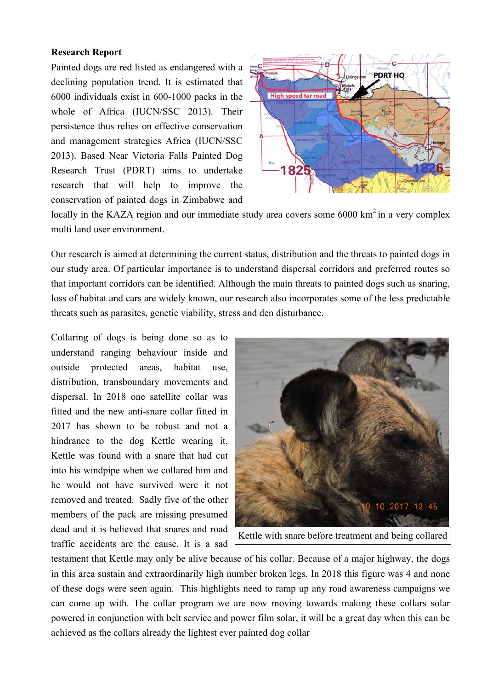## **Research Report**

Painted dogs are red listed as endangered with a declining population trend. It is estimated that 6000 individuals exist in 600-1000 packs in the whole of Africa (IUCN/SSC 2013). Their persistence thus relies on effective conservation and management strategies Africa (IUCN/SSC 2013). Based Near Victoria Falls Painted Dog Research Trust (PDRT) aims to undertake research that will help to improve the conservation of painted dogs in Zimbabwe and



locally in the KAZA region and our immediate study area covers some 6000 km<sup>2</sup> in a very complex multi land user environment.

Our research is aimed at determining the current status, distribution and the threats to painted dogs in our study area. Of particular importance is to understand dispersal corridors and preferred routes so that important corridors can be identified. Although the main threats to painted dogs such as snaring, loss of habitat and cars are widely known, our research also incorporates some of the less predictable threats such as parasites, genetic viability, stress and den disturbance.

Collaring of dogs is being done so as to understand ranging behaviour inside and outside protected areas, habitat use, distribution, transboundary movements and dispersal. In 2018 one satellite collar was fitted and the new anti-snare collar fitted in 2017 has shown to be robust and not a hindrance to the dog Kettle wearing it. Kettle was found with a snare that had cut into his windpipe when we collared him and he would not have survived were it not removed and treated. Sadly five of the other members of the pack are missing presumed dead and it is believed that snares and road traffic accidents are the cause. It is a sad



Kettle with snare before treatment and being collared

testament that Kettle may only be alive because of his collar. Because of a major highway, the dogs in this area sustain and extraordinarily high number broken legs. In 2018 this figure was 4 and none of these dogs were seen again. This highlights need to ramp up any road awareness campaigns we can come up with. The collar program we are now moving towards making these collars solar powered in conjunction with belt service and power film solar, it will be a great day when this can be achieved as the collars already the lightest ever painted dog collar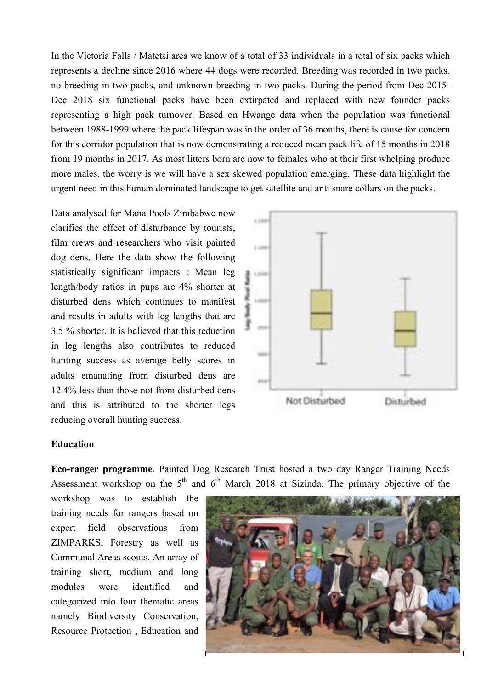In the Victoria Falls / Matetsi area we know of a total of 33 individuals in a total of six packs which represents a decline since 2016 where 44 dogs were recorded. Breeding was recorded in two packs, no breeding in two packs, and unknown breeding in two packs. During the period from Dec 2015- Dec 2018 six functional packs have been extirpated and replaced with new founder packs representing a high pack turnover. Based on Hwange data when the population was functional between 1988-1999 where the pack lifespan was in the order of 36 months, there is cause for concern for this corridor population that is now demonstrating a reduced mean pack life of 15 months in 2018 from 19 months in 2017. As most litters born are now to females who at their first whelping produce more males, the worry is we will have a sex skewed population emerging. These data highlight the urgent need in this human dominated landscape to get satellite and anti snare collars on the packs.

Data analysed for Mana Pools Zimbabwe now clarifies the effect of disturbance by tourists, film crews and researchers who visit painted dog dens. Here the data show the following statistically significant impacts : Mean leg length/body ratios in pups are 4% shorter at disturbed dens which continues to manifest and results in adults with leg lengths that are 3.5 % shorter. It is believed that this reduction in leg lengths also contributes to reduced hunting success as average belly scores in adults emanating from disturbed dens are 12.4% less than those not from disturbed dens and this is attributed to the shorter legs reducing overall hunting success.



#### **Education**

**Eco-ranger programme.** Painted Dog Research Trust hosted a two day Ranger Training Needs Assessment workshop on the  $5<sup>th</sup>$  and  $6<sup>th</sup>$  March 2018 at Sizinda. The primary objective of the

workshop was to establish the training needs for rangers based on expert field observations from ZIMPARKS, Forestry as well as Communal Areas scouts. An array of training short, medium and long modules were identified and categorized into four thematic areas namely Biodiversity Conservation, Resource Protection , Education and

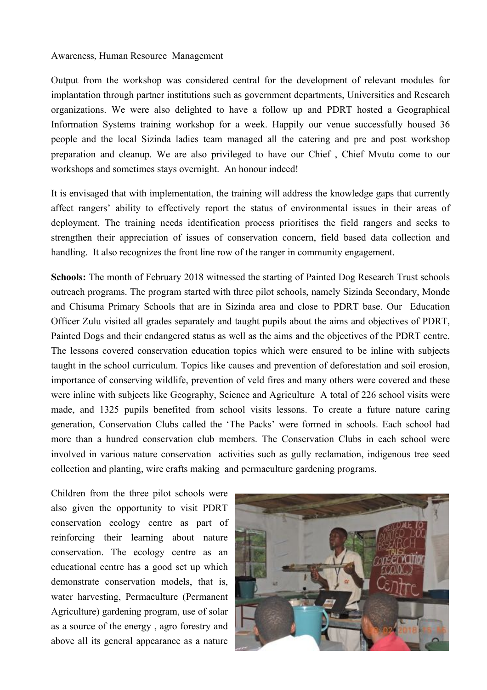#### Awareness, Human Resource Management

Output from the workshop was considered central for the development of relevant modules for implantation through partner institutions such as government departments, Universities and Research organizations. We were also delighted to have a follow up and PDRT hosted a Geographical Information Systems training workshop for a week. Happily our venue successfully housed 36 people and the local Sizinda ladies team managed all the catering and pre and post workshop preparation and cleanup. We are also privileged to have our Chief , Chief Mvutu come to our workshops and sometimes stays overnight. An honour indeed!

It is envisaged that with implementation, the training will address the knowledge gaps that currently affect rangers' ability to effectively report the status of environmental issues in their areas of deployment. The training needs identification process prioritises the field rangers and seeks to strengthen their appreciation of issues of conservation concern, field based data collection and handling. It also recognizes the front line row of the ranger in community engagement.

**Schools:** The month of February 2018 witnessed the starting of Painted Dog Research Trust schools outreach programs. The program started with three pilot schools, namely Sizinda Secondary, Monde and Chisuma Primary Schools that are in Sizinda area and close to PDRT base. Our Education Officer Zulu visited all grades separately and taught pupils about the aims and objectives of PDRT, Painted Dogs and their endangered status as well as the aims and the objectives of the PDRT centre. The lessons covered conservation education topics which were ensured to be inline with subjects taught in the school curriculum. Topics like causes and prevention of deforestation and soil erosion, importance of conserving wildlife, prevention of veld fires and many others were covered and these were inline with subjects like Geography, Science and Agriculture A total of 226 school visits were made, and 1325 pupils benefited from school visits lessons. To create a future nature caring generation, Conservation Clubs called the 'The Packs' were formed in schools. Each school had more than a hundred conservation club members. The Conservation Clubs in each school were involved in various nature conservation activities such as gully reclamation, indigenous tree seed collection and planting, wire crafts making and permaculture gardening programs.

Children from the three pilot schools were also given the opportunity to visit PDRT conservation ecology centre as part of reinforcing their learning about nature conservation. The ecology centre as an educational centre has a good set up which demonstrate conservation models, that is, water harvesting, Permaculture (Permanent Agriculture) gardening program, use of solar as a source of the energy , agro forestry and above all its general appearance as a nature

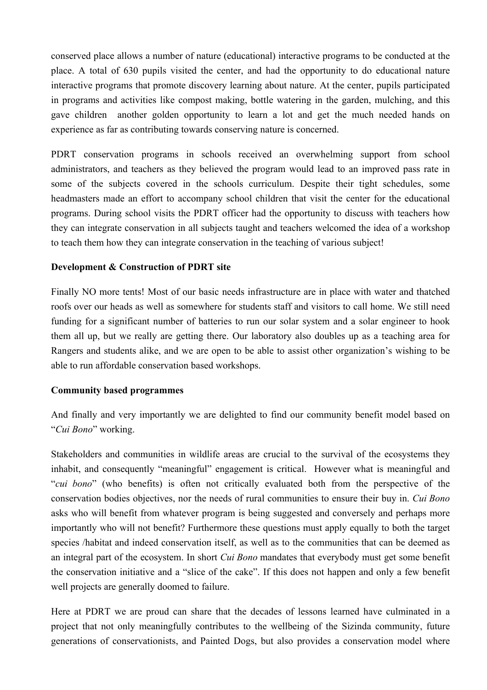conserved place allows a number of nature (educational) interactive programs to be conducted at the place. A total of 630 pupils visited the center, and had the opportunity to do educational nature interactive programs that promote discovery learning about nature. At the center, pupils participated in programs and activities like compost making, bottle watering in the garden, mulching, and this gave children another golden opportunity to learn a lot and get the much needed hands on experience as far as contributing towards conserving nature is concerned.

PDRT conservation programs in schools received an overwhelming support from school administrators, and teachers as they believed the program would lead to an improved pass rate in some of the subjects covered in the schools curriculum. Despite their tight schedules, some headmasters made an effort to accompany school children that visit the center for the educational programs. During school visits the PDRT officer had the opportunity to discuss with teachers how they can integrate conservation in all subjects taught and teachers welcomed the idea of a workshop to teach them how they can integrate conservation in the teaching of various subject!

# **Development & Construction of PDRT site**

Finally NO more tents! Most of our basic needs infrastructure are in place with water and thatched roofs over our heads as well as somewhere for students staff and visitors to call home. We still need funding for a significant number of batteries to run our solar system and a solar engineer to hook them all up, but we really are getting there. Our laboratory also doubles up as a teaching area for Rangers and students alike, and we are open to be able to assist other organization's wishing to be able to run affordable conservation based workshops.

## **Community based programmes**

And finally and very importantly we are delighted to find our community benefit model based on "*Cui Bono*" working.

Stakeholders and communities in wildlife areas are crucial to the survival of the ecosystems they inhabit, and consequently "meaningful" engagement is critical. However what is meaningful and "*cui bono*" (who benefits) is often not critically evaluated both from the perspective of the conservation bodies objectives, nor the needs of rural communities to ensure their buy in. *Cui Bono* asks who will benefit from whatever program is being suggested and conversely and perhaps more importantly who will not benefit? Furthermore these questions must apply equally to both the target species /habitat and indeed conservation itself, as well as to the communities that can be deemed as an integral part of the ecosystem. In short *Cui Bono* mandates that everybody must get some benefit the conservation initiative and a "slice of the cake". If this does not happen and only a few benefit well projects are generally doomed to failure.

Here at PDRT we are proud can share that the decades of lessons learned have culminated in a project that not only meaningfully contributes to the wellbeing of the Sizinda community, future generations of conservationists, and Painted Dogs, but also provides a conservation model where